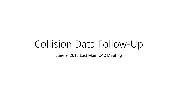# Collision Data Follow-Up

June 9, 2015 East Main CAC Meeting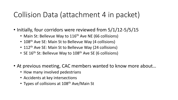## Collision Data (attachment 4 in packet)

- Initially, four corridors were reviewed from 5/1/12-5/5/15
	- Main St: Bellevue Way to 116<sup>th</sup> Ave NE (66 collisions)
	- 108<sup>th</sup> Ave SE: Main St to Bellevue Way (4 collisions)
	- 112<sup>th</sup> Ave SE: Main St to Bellevue Way (24 collisions)
	- SE 16<sup>th</sup> St: Bellevue Way to 108<sup>th</sup> Ave SE (6 collisions)
- At previous meeting, CAC members wanted to know more about…
	- How many involved pedestrians
	- Accidents at key intersections
	- Types of collisions at 108<sup>th</sup> Ave/Main St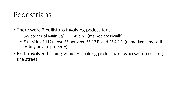### Pedestrians

- There were 2 collisions involving pedestrians
	- SW corner of Main St/112<sup>th</sup> Ave NE (marked crosswalk)
	- East side of 112th Ave SE between SE 1<sup>st</sup> Pl and SE 4<sup>th</sup> St (unmarked crosswalk exiting private property)
- Both involved turning vehicles striking pedestrians who were crossing the street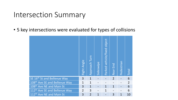#### Intersection Summary

• 5 key intersections were evaluated for types of collisions

|                                           | Right Angle    | Approach Turn  | Sideswipe    | object<br>vehicle/fixed<br>Parked | Rear End       | Pedestrian   | <b>Total</b>   |
|-------------------------------------------|----------------|----------------|--------------|-----------------------------------|----------------|--------------|----------------|
| SE 16th St and Bellevue Way               | 3              | $\mathbf{1}$   |              |                                   | $\overline{2}$ |              | 6              |
| 108th Ave SE and Bellevue Way             | 1              | $\mathbf 1$    |              |                                   |                |              | $\overline{2}$ |
| 108 <sup>th</sup> Ave NE and Main St      | 3              | $\mathbf{1}$   |              | $\mathbf{1}$                      | $\mathbf{1}$   |              | 6              |
| 112 <sup>th</sup> Ave SE and Bellevue Way | $\overline{2}$ | 3              |              | $\mathbf{1}$                      |                |              | 6              |
| 112 <sup>th</sup> Ave NE and Main St      | 3              | $\overline{2}$ | $\mathbf{1}$ |                                   | 3              | $\mathbf{1}$ | 10             |